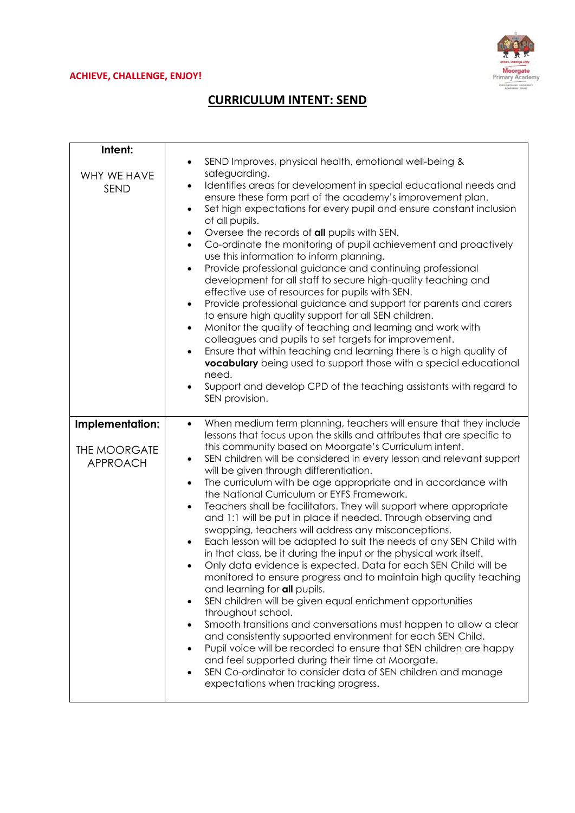## **ACHIEVE, CHALLENGE, ENJOY!**



## **CURRICULUM INTENT: SEND**

| Intent:<br>WHY WE HAVE<br><b>SEND</b>                     | SEND Improves, physical health, emotional well-being &<br>$\bullet$<br>safeguarding.<br>Identifies areas for development in special educational needs and<br>$\bullet$<br>ensure these form part of the academy's improvement plan.<br>Set high expectations for every pupil and ensure constant inclusion<br>$\bullet$<br>of all pupils.<br>Oversee the records of all pupils with SEN.<br>$\bullet$<br>Co-ordinate the monitoring of pupil achievement and proactively<br>$\bullet$<br>use this information to inform planning.<br>Provide professional guidance and continuing professional<br>$\bullet$<br>development for all staff to secure high-quality teaching and<br>effective use of resources for pupils with SEN.<br>Provide professional guidance and support for parents and carers<br>$\bullet$<br>to ensure high quality support for all SEN children.<br>Monitor the quality of teaching and learning and work with<br>$\bullet$<br>colleagues and pupils to set targets for improvement.<br>Ensure that within teaching and learning there is a high quality of<br>$\bullet$<br><b>vocabulary</b> being used to support those with a special educational<br>need.<br>Support and develop CPD of the teaching assistants with regard to<br>SEN provision.                                                                                                                                                                                                                                                                          |
|-----------------------------------------------------------|-------------------------------------------------------------------------------------------------------------------------------------------------------------------------------------------------------------------------------------------------------------------------------------------------------------------------------------------------------------------------------------------------------------------------------------------------------------------------------------------------------------------------------------------------------------------------------------------------------------------------------------------------------------------------------------------------------------------------------------------------------------------------------------------------------------------------------------------------------------------------------------------------------------------------------------------------------------------------------------------------------------------------------------------------------------------------------------------------------------------------------------------------------------------------------------------------------------------------------------------------------------------------------------------------------------------------------------------------------------------------------------------------------------------------------------------------------------------------------------------------------------------------------------------------------|
| Implementation:<br><b>THE MOORGATE</b><br><b>APPROACH</b> | When medium term planning, teachers will ensure that they include<br>$\bullet$<br>lessons that focus upon the skills and attributes that are specific to<br>this community based on Moorgate's Curriculum intent.<br>SEN children will be considered in every lesson and relevant support<br>$\bullet$<br>will be given through differentiation.<br>The curriculum with be age appropriate and in accordance with<br>$\bullet$<br>the National Curriculum or EYFS Framework.<br>Teachers shall be facilitators. They will support where appropriate<br>$\bullet$<br>and 1:1 will be put in place if needed. Through observing and<br>swopping, teachers will address any misconceptions.<br>Each lesson will be adapted to suit the needs of any SEN Child with<br>$\bullet$<br>in that class, be it during the input or the physical work itself.<br>Only data evidence is expected. Data for each SEN Child will be<br>$\bullet$<br>monitored to ensure progress and to maintain high quality teaching<br>and learning for all pupils.<br>SEN children will be given equal enrichment opportunities<br>$\bullet$<br>throughout school.<br>Smooth transitions and conversations must happen to allow a clear<br>$\bullet$<br>and consistently supported environment for each SEN Child.<br>Pupil voice will be recorded to ensure that SEN children are happy<br>$\bullet$<br>and feel supported during their time at Moorgate.<br>SEN Co-ordinator to consider data of SEN children and manage<br>$\bullet$<br>expectations when tracking progress. |